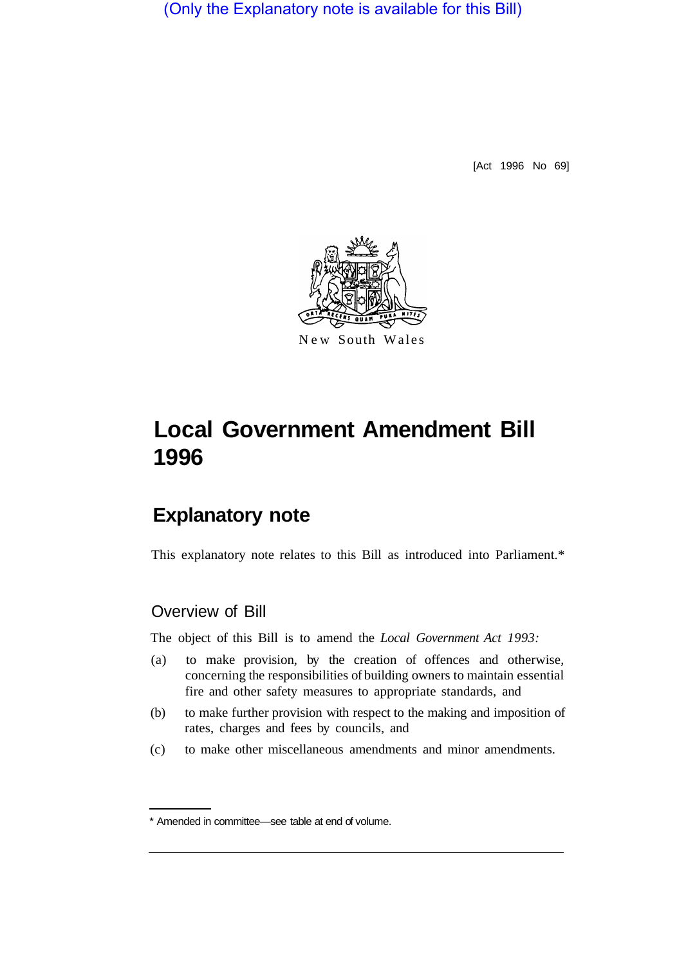(Only the Explanatory note is available for this Bill)

[Act 1996 No 69]



# **Local Government Amendment Bill 1996**

# **Explanatory note**

This explanatory note relates to this Bill as introduced into Parliament.\*

### Overview of Bill

The object of this Bill is to amend the *Local Government Act 1993:* 

- (a) to make provision, by the creation of offences and otherwise, concerning the responsibilities of building owners to maintain essential fire and other safety measures to appropriate standards, and
- (b) to make further provision with respect to the making and imposition of rates, charges and fees by councils, and
- (c) to make other miscellaneous amendments and minor amendments.

<sup>\*</sup> Amended in committee—see table at end of volume.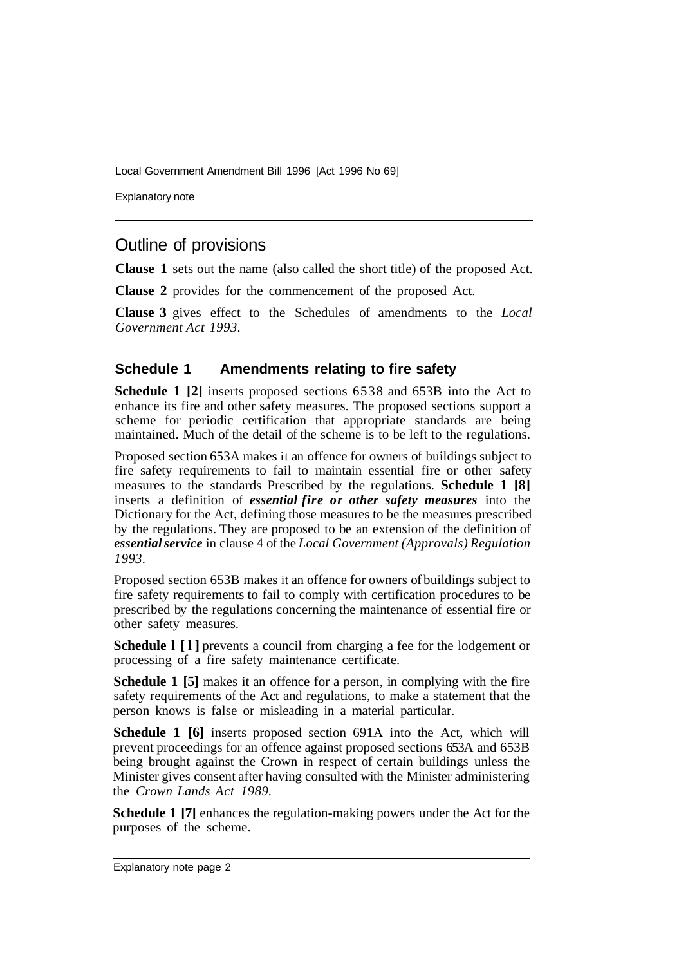Explanatory note

## Outline of provisions

**Clause 1** sets out the name (also called the short title) of the proposed Act.

**Clause 2** provides for the commencement of the proposed Act.

**Clause 3** gives effect to the Schedules of amendments to the *Local Government Act 1993.* 

#### **Schedule 1 Amendments relating to fire safety**

**Schedule 1 [2]** inserts proposed sections 6538 and 653B into the Act to enhance its fire and other safety measures. The proposed sections support a scheme for periodic certification that appropriate standards are being maintained. Much of the detail of the scheme is to be left to the regulations.

Proposed section 653A makes it an offence for owners of buildings subject to fire safety requirements to fail to maintain essential fire or other safety measures to the standards Prescribed by the regulations. **Schedule 1 [8]**  inserts a definition of *essential fire or other safety measures* into the Dictionary for the Act, defining those measures to be the measures prescribed by the regulations. They are proposed to be an extension of the definition of *essential service* in clause 4 of the *Local Government (Approvals) Regulation 1993.* 

Proposed section 653B makes it an offence for owners of buildings subject to fire safety requirements to fail to comply with certification procedures to be prescribed by the regulations concerning the maintenance of essential fire or other safety measures.

**Schedule l [l]** prevents a council from charging a fee for the lodgement or processing of a fire safety maintenance certificate.

**Schedule 1 [5]** makes it an offence for a person, in complying with the fire safety requirements of the Act and regulations, to make a statement that the person knows is false or misleading in a material particular.

**Schedule 1 [6]** inserts proposed section 691A into the Act, which will prevent proceedings for an offence against proposed sections 653A and 653B being brought against the Crown in respect of certain buildings unless the Minister gives consent after having consulted with the Minister administering the *Crown Lands Act 1989.* 

**Schedule 1 [7]** enhances the regulation-making powers under the Act for the purposes of the scheme.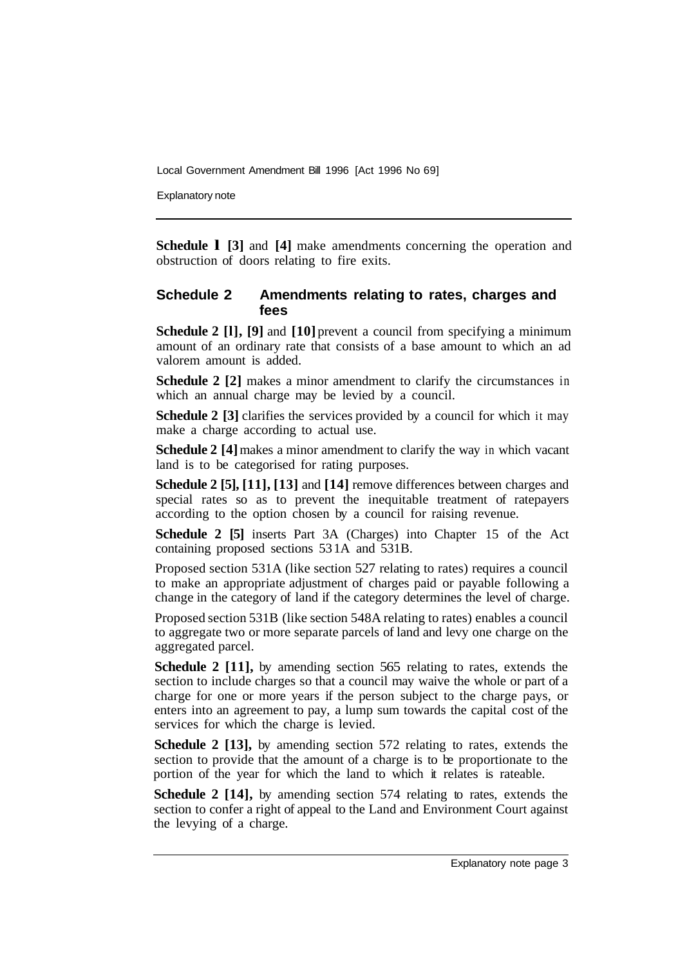Explanatory note

**Schedule 1 [3] and [4] make amendments concerning the operation and** obstruction of doors relating to fire exits.

#### **Schedule 2 Amendments relating to rates, charges and fees**

**Schedule 2 [l], [9]** and **[10]** prevent a council from specifying a minimum amount of an ordinary rate that consists of a base amount to which an ad valorem amount is added.

**Schedule 2 [2]** makes a minor amendment to clarify the circumstances in which an annual charge may be levied by a council.

**Schedule 2 [3] clarifies the services provided by a council for which it may** make a charge according to actual use.

**Schedule 2** [4] makes a minor amendment to clarify the way in which vacant land is to be categorised for rating purposes.

**Schedule 2 [5], [11], [13]** and **[14]** remove differences between charges and special rates so as to prevent the inequitable treatment of ratepayers according to the option chosen by a council for raising revenue.

**Schedule 2 [5]** inserts Part 3A (Charges) into Chapter 15 of the Act containing proposed sections 53 1A and 531B.

Proposed section 531A (like section 527 relating to rates) requires a council to make an appropriate adjustment of charges paid or payable following a change in the category of land if the category determines the level of charge.

Proposed section 531B (like section 548A relating to rates) enables a council to aggregate two or more separate parcels of land and levy one charge on the aggregated parcel.

**Schedule 2 [11],** by amending section 565 relating to rates, extends the section to include charges so that a council may waive the whole or part of a charge for one or more years if the person subject to the charge pays, or enters into an agreement to pay, a lump sum towards the capital cost of the services for which the charge is levied.

**Schedule 2 [13],** by amending section 572 relating to rates, extends the section to provide that the amount of a charge is to be proportionate to the portion of the year for which the land to which it relates is rateable.

**Schedule 2 [14],** by amending section 574 relating to rates, extends the section to confer a right of appeal to the Land and Environment Court against the levying of a charge.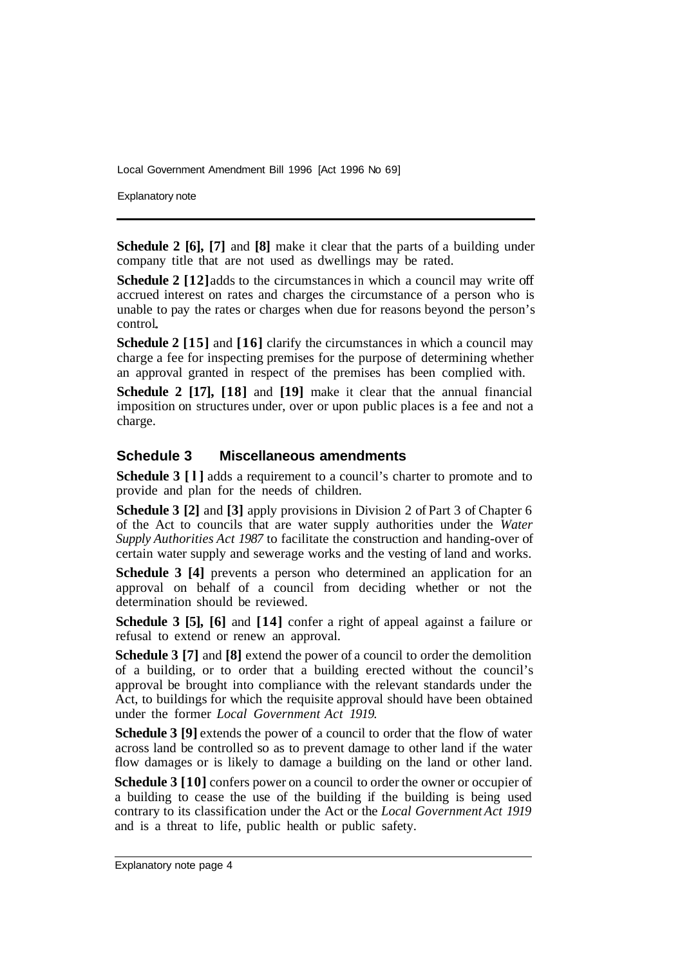Explanatory note

**Schedule 2 [6], [7]** and **[8]** make it clear that the parts of a building under company title that are not used as dwellings may be rated.

**Schedule 2** [12] adds to the circumstances in which a council may write off accrued interest on rates and charges the circumstance of a person who is unable to pay the rates or charges when due for reasons beyond the person's control

**Schedule 2 [15]** and **[16]** clarify the circumstances in which a council may charge a fee for inspecting premises for the purpose of determining whether an approval granted in respect of the premises has been complied with.

**Schedule 2 [17], [18]** and **[19]** make it clear that the annual financial imposition on structures under, over or upon public places is a fee and not a charge.

#### **Schedule 3 Miscellaneous amendments**

**Schedule 3** [1] adds a requirement to a council's charter to promote and to provide and plan for the needs of children.

**Schedule 3 [2]** and **[3]** apply provisions in Division 2 of Part 3 of Chapter 6 of the Act to councils that are water supply authorities under the *Water Supply Authorities Act 1987* to facilitate the construction and handing-over of certain water supply and sewerage works and the vesting of land and works.

**Schedule 3 [4]** prevents a person who determined an application for an approval on behalf of a council from deciding whether or not the determination should be reviewed.

**Schedule 3 [5], [6]** and **[14]** confer a right of appeal against a failure or refusal to extend or renew an approval.

**Schedule 3 [7]** and **[8]** extend the power of a council to order the demolition of a building, or to order that a building erected without the council's approval be brought into compliance with the relevant standards under the Act, to buildings for which the requisite approval should have been obtained under the former *Local Government Act 1919.* 

**Schedule 3 [9]** extends the power of a council to order that the flow of water across land be controlled so as to prevent damage to other land if the water flow damages or is likely to damage a building on the land or other land.

**Schedule 3 [10]** confers power on a council to order the owner or occupier of a building to cease the use of the building if the building is being used contrary to its classification under the Act or the *Local Government Act 1919*  and is a threat to life, public health or public safety.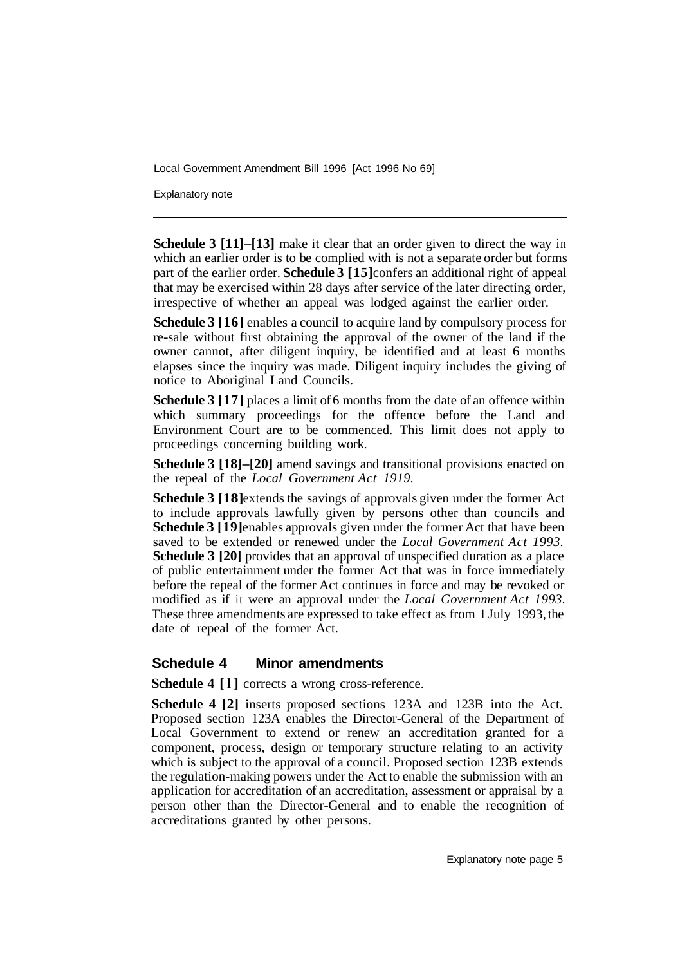Explanatory note

**Schedule 3 [11]–[13]** make it clear that an order given to direct the way in which an earlier order is to be complied with is not a separate order but forms part of the earlier order. **Schedule 3 [15]** confers an additional right of appeal that may be exercised within 28 days after service of the later directing order, irrespective of whether an appeal was lodged against the earlier order.

**Schedule 3 [16]** enables a council to acquire land by compulsory process for re-sale without first obtaining the approval of the owner of the land if the owner cannot, after diligent inquiry, be identified and at least 6 months elapses since the inquiry was made. Diligent inquiry includes the giving of notice to Aboriginal Land Councils.

**Schedule 3 [17]** places a limit of 6 months from the date of an offence within which summary proceedings for the offence before the Land and Environment Court are to be commenced. This limit does not apply to proceedings concerning building work.

**Schedule 3 [18]–[20]** amend savings and transitional provisions enacted on the repeal of the *Local Government Act 1919.* 

**Schedule 3 [18]** extends the savings of approvals given under the former Act to include approvals lawfully given by persons other than councils and **Schedule 3 [19]** enables approvals given under the former Act that have been saved to be extended or renewed under the *Local Government Act 1993.*  **Schedule 3 [20]** provides that an approval of unspecified duration as a place of public entertainment under the former Act that was in force immediately before the repeal of the former Act continues in force and may be revoked or modified as if it were an approval under the *Local Government Act 1993.*  These three amendments are expressed to take effect as from 1 July 1993, the date of repeal of the former Act.

#### **Schedule 4 Minor amendments**

**Schedule 4 [l]** corrects a wrong cross-reference.

**Schedule 4 [2]** inserts proposed sections 123A and 123B into the Act. Proposed section 123A enables the Director-General of the Department of Local Government to extend or renew an accreditation granted for a component, process, design or temporary structure relating to an activity which is subject to the approval of a council. Proposed section 123B extends the regulation-making powers under the Act to enable the submission with an application for accreditation of an accreditation, assessment or appraisal by a person other than the Director-General and to enable the recognition of accreditations granted by other persons.